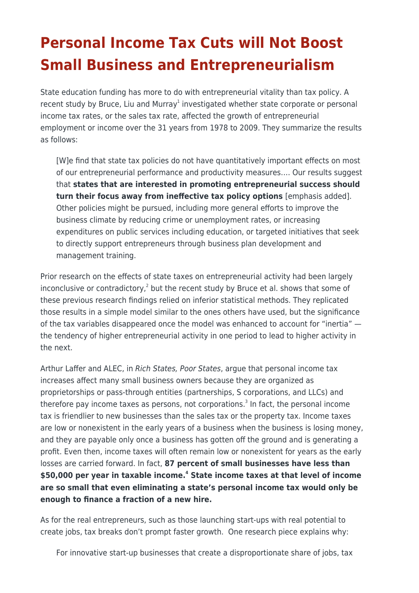## **Personal Income Tax Cuts will Not Boost Small Business and Entrepreneurialism**

State education funding has more to do with entrepreneurial vitality than tax policy. A recent study by Bruce, Liu and Murray<sup>1</sup> investigated whether state corporate or personal income tax rates, or the sales tax rate, affected the growth of entrepreneurial employment or income over the 31 years from 1978 to 2009. They summarize the results as follows:

[W]e find that state tax policies do not have quantitatively important effects on most of our entrepreneurial performance and productivity measures…. Our results suggest that **states that are interested in promoting entrepreneurial success should turn their focus away from ineffective tax policy options** [emphasis added]. Other policies might be pursued, including more general efforts to improve the business climate by reducing crime or unemployment rates, or increasing expenditures on public services including education, or targeted initiatives that seek to directly support entrepreneurs through business plan development and management training.

Prior research on the effects of state taxes on entrepreneurial activity had been largely inconclusive or contradictory,<sup>2</sup> but the recent study by Bruce et al. shows that some of these previous research findings relied on inferior statistical methods. They replicated those results in a simple model similar to the ones others have used, but the significance of the tax variables disappeared once the model was enhanced to account for "inertia" the tendency of higher entrepreneurial activity in one period to lead to higher activity in the next.

Arthur Laffer and ALEC, in Rich States, Poor States, argue that personal income tax increases affect many small business owners because they are organized as proprietorships or pass-through entities (partnerships, S corporations, and LLCs) and therefore pay income taxes as persons, not corporations.<sup>3</sup> In fact, the personal income tax is friendlier to new businesses than the sales tax or the property tax. Income taxes are low or nonexistent in the early years of a business when the business is losing money, and they are payable only once a business has gotten off the ground and is generating a profit. Even then, income taxes will often remain low or nonexistent for years as the early losses are carried forward. In fact, **87 percent of small businesses have less than \$50,000 per year in taxable income.<sup>4</sup> State income taxes at that level of income are so small that even eliminating a state's personal income tax would only be enough to finance a fraction of a new hire.**

As for the real entrepreneurs, such as those launching start-ups with real potential to create jobs, tax breaks don't prompt faster growth. One research piece explains why:

For innovative start-up businesses that create a disproportionate share of jobs, tax